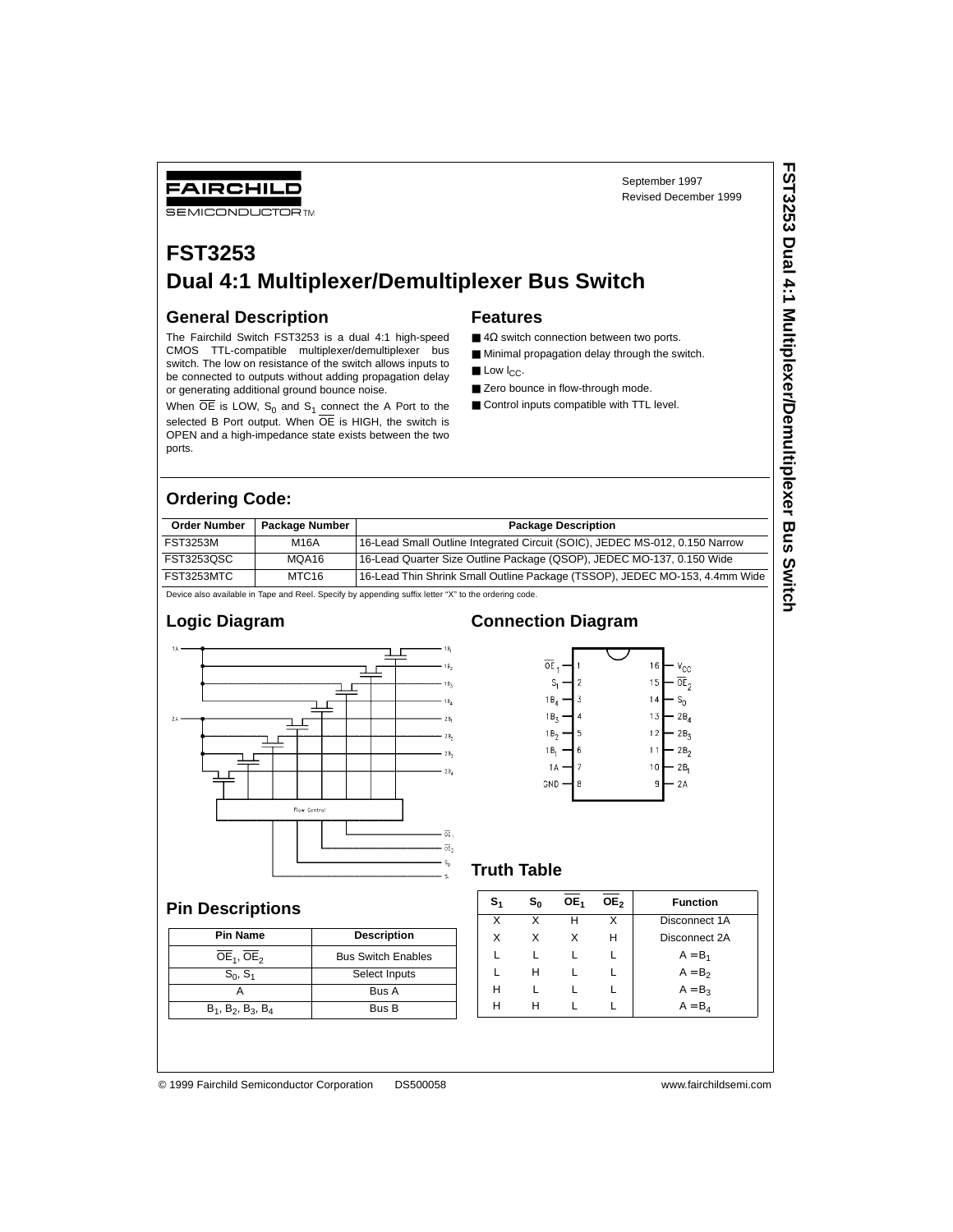## FAIRCHILD

**SEMICONDUCTOR TM** 

## **FST3253 Dual 4:1 Multiplexer/Demultiplexer Bus Switch**

### **General Description**

The Fairchild Switch FST3253 is a dual 4:1 high-speed CMOS TTL-compatible multiplexer/demultiplexer bus switch. The low on resistance of the switch allows inputs to be connected to outputs without adding propagation delay or generating additional ground bounce noise.

When  $\overline{OE}$  is LOW, S<sub>0</sub> and S<sub>1</sub> connect the A Port to the selected B Port output. When  $\overline{OE}$  is HIGH, the switch is OPEN and a high-impedance state exists between the two ports.

#### **Features**

 $\blacksquare$  4 $\Omega$  switch connection between two ports.

September 1997 Revised December 1999

- Minimal propagation delay through the switch.
- $\blacksquare$  Low  $I_{CC}$ .
- Zero bounce in flow-through mode.
- Control inputs compatible with TTL level.

## **Ordering Code:**

| <b>Order Number</b>                                                                                | Package Number | <b>Package Description</b>                                                  |  |  |  |
|----------------------------------------------------------------------------------------------------|----------------|-----------------------------------------------------------------------------|--|--|--|
| <b>FST3253M</b>                                                                                    | M16A           | 16-Lead Small Outline Integrated Circuit (SOIC), JEDEC MS-012, 0.150 Narrow |  |  |  |
| FST3253QSC                                                                                         | MQA16          | 16-Lead Quarter Size Outline Package (QSOP), JEDEC MO-137, 0.150 Wide       |  |  |  |
| FST3253MTC                                                                                         | MTC16          | 16-Lead Thin Shrink Small Outline Package (TSSOP), JEDEC MO-153, 4.4mm Wide |  |  |  |
| Dovice also available in Tans and Real Specify by appending ouffix letter "Y" to the ordering code |                |                                                                             |  |  |  |

ify by appending suffix letter "X" to the ordering

#### **Logic Diagram**



# **Pin Descriptions**

| <b>Pin Name</b>               | <b>Description</b>        |
|-------------------------------|---------------------------|
| $OE1$ , $OE2$                 | <b>Bus Switch Enables</b> |
| $S_0, S_1$                    | Select Inputs             |
|                               | Bus A                     |
| $B_1$ , $B_2$ , $B_3$ , $B_4$ | Bus B                     |

### **Connection Diagram**



#### **Truth Table**

| s, | s, | OE <sub>1</sub> | OE <sub>2</sub> | <b>Function</b> |
|----|----|-----------------|-----------------|-----------------|
| X  | x  | н               |                 | Disconnect 1A   |
| x  | x  | x               | н               | Disconnect 2A   |
|    |    |                 |                 | $A = B_1$       |
|    | н  |                 |                 | $A = B2$        |
| н  |    |                 |                 | $A = B_3$       |
| н  |    |                 |                 | $A = B_4$       |
|    |    |                 |                 |                 |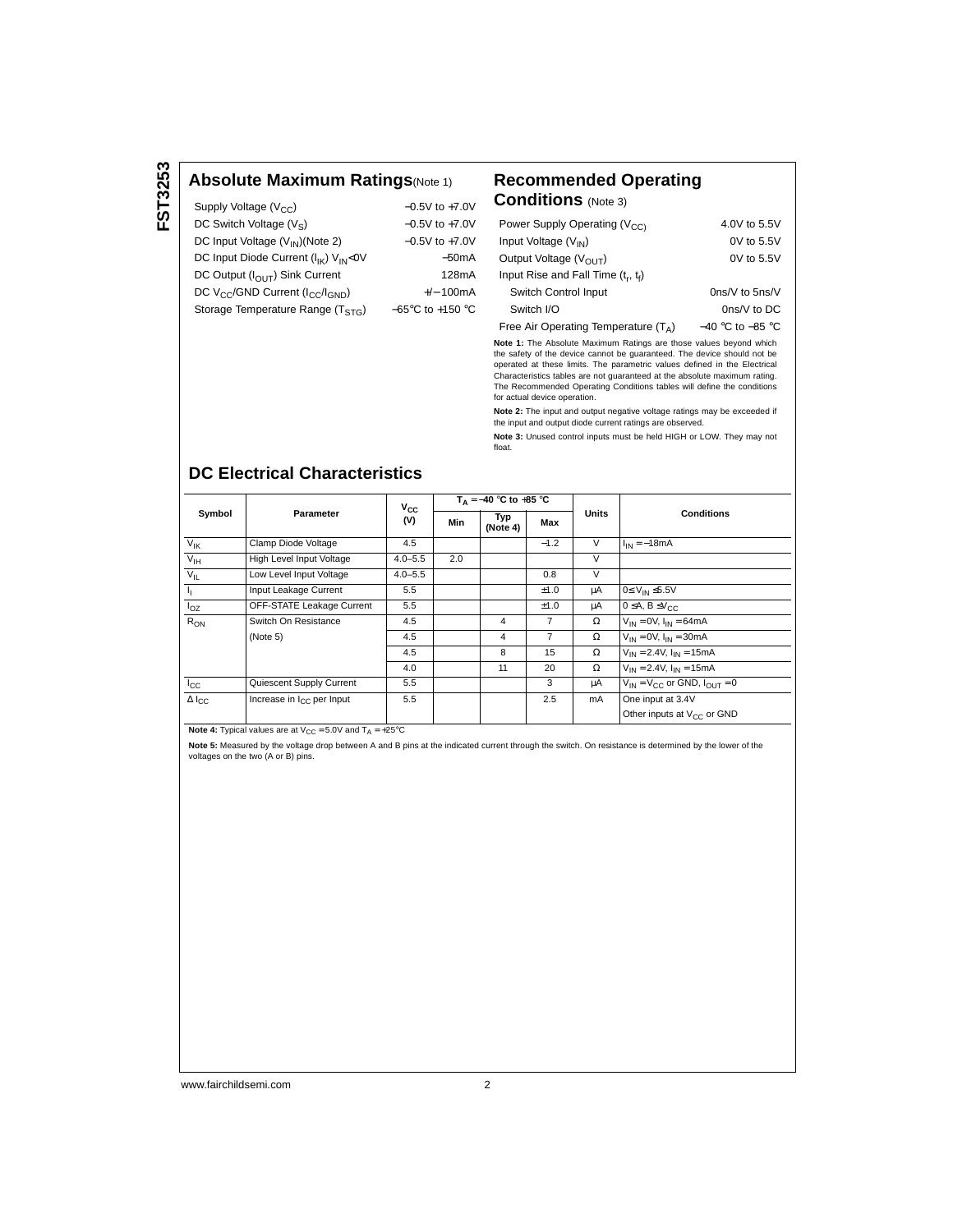#### **Absolute Maximum Ratings**(Note 1) **Recommended Operating**

| Supply Voltage (V <sub>CC</sub> )                                    | $-0.5V$ to $+7.0V$                   |
|----------------------------------------------------------------------|--------------------------------------|
| DC Switch Voltage $(V_S)$                                            | $-0.5V$ to $+7.0V$                   |
| DC Input Voltage (V <sub>IN</sub> )(Note 2)                          | $-0.5V$ to $+7.0V$                   |
| DC Input Diode Current (I <sub>IK</sub> ) V <sub>IN</sub> <0V        | $-50mA$                              |
| DC Output (I <sub>OUT</sub> ) Sink Current                           | 128mA                                |
| DC V <sub>CC</sub> /GND Current (I <sub>CC</sub> /I <sub>GND</sub> ) | $+/- 100mA$                          |
| Storage Temperature Range (TSTG)                                     | $-65^{\circ}$ C to +150 $^{\circ}$ C |
|                                                                      |                                      |

# **Conditions** (Note 3)

| Power Supply Operating (V <sub>CC)</sub> | 4.0V to 5.5V         |
|------------------------------------------|----------------------|
| Input Voltage $(V_{IN})$                 | $0V$ to $5.5V$       |
| Output Voltage $(V_{OUT})$               | $0V$ to $5.5V$       |
| Input Rise and Fall Time $(t_r, t_f)$    |                      |
| Switch Control Input                     | $0ns/V$ to $5ns/V$   |
| Switch I/O                               | $0ns/V$ to DC        |
| Free Air Operating Temperature $(T_A)$   | $-40$ °C to $-85$ °C |

**Note 1:** The Absolute Maximum Ratings are those values beyond which the safety of the device cannot be guaranteed. The device should not be operated at these limits. The parametric values defined in the Electrical Characteristics tables are not guaranteed at the absolute maximum rating. The Recommended Operating Conditions tables will define the conditions for actual device operation.

**Note 2:** The input and output negative voltage ratings may be exceeded if the input and output diode current ratings are observed.

**Note 3:** Unused control inputs must be held HIGH or LOW. They may not float.

### **DC Electrical Characteristics**

|                     | Parameter                             | Vcc<br>(V)  | $T_A = -40$ °C to +85 °C |                 |        |              |                                          |  |
|---------------------|---------------------------------------|-------------|--------------------------|-----------------|--------|--------------|------------------------------------------|--|
| Symbol              |                                       |             | Min                      | Typ<br>(Note 4) | Max    | <b>Units</b> | <b>Conditions</b>                        |  |
| $V_{\text{IK}}$     | Clamp Diode Voltage                   | 4.5         |                          |                 | $-1.2$ | $\vee$       | $I_{IN} = -18mA$                         |  |
| $V_{\text{IH}}$     | High Level Input Voltage              | $4.0 - 5.5$ | 2.0                      |                 |        | V            |                                          |  |
| $V_{IL}$            | Low Level Input Voltage               | $4.0 - 5.5$ |                          |                 | 0.8    | V            |                                          |  |
| Ъ.                  | Input Leakage Current                 | 5.5         |                          |                 | ±1.0   | μA           | $0 \leq V_{IN} \leq 5.5V$                |  |
| $I_{OZ}$            | OFF-STATE Leakage Current             | 5.5         |                          |                 | ±1.0   | μA           | $0 \leq A, B \leq V_{CC}$                |  |
| $R_{ON}$            | Switch On Resistance                  | 4.5         |                          | 4               | 7      | Ω            | $V_{IN} = 0V$ , $I_{IN} = 64mA$          |  |
|                     | (Note 5)                              | 4.5         |                          | 4               | 7      | Ω            | $V_{IN} = 0V$ , $I_{IN} = 30mA$          |  |
|                     |                                       | 4.5         |                          | 8               | 15     | Ω            | $V_{IN} = 2.4V$ , $I_{IN} = 15mA$        |  |
|                     |                                       | 4.0         |                          | 11              | 20     | Ω            | $V_{IN} = 2.4V$ , $I_{IN} = 15mA$        |  |
| $I_{\rm CC}$        | Quiescent Supply Current              | 5.5         |                          |                 | 3      | μA           | $V_{IN} = V_{CC}$ or GND, $I_{OIII} = 0$ |  |
| $\Delta I_{\rm CC}$ | Increase in I <sub>CC</sub> per Input | 5.5         |                          |                 | 2.5    | mA           | One input at 3.4V                        |  |
|                     |                                       |             |                          |                 |        |              | Other inputs at V <sub>CC</sub> or GND   |  |

**Note 4:** Typical values are at  $V_{CC} = 5.0V$  and  $T_A = +25^{\circ}C$ 

**Note 5:** Measured by the voltage drop between A and B pins at the indicated current through the switch. On resistance is determined by the lower of the voltages on the two (A or B) pins.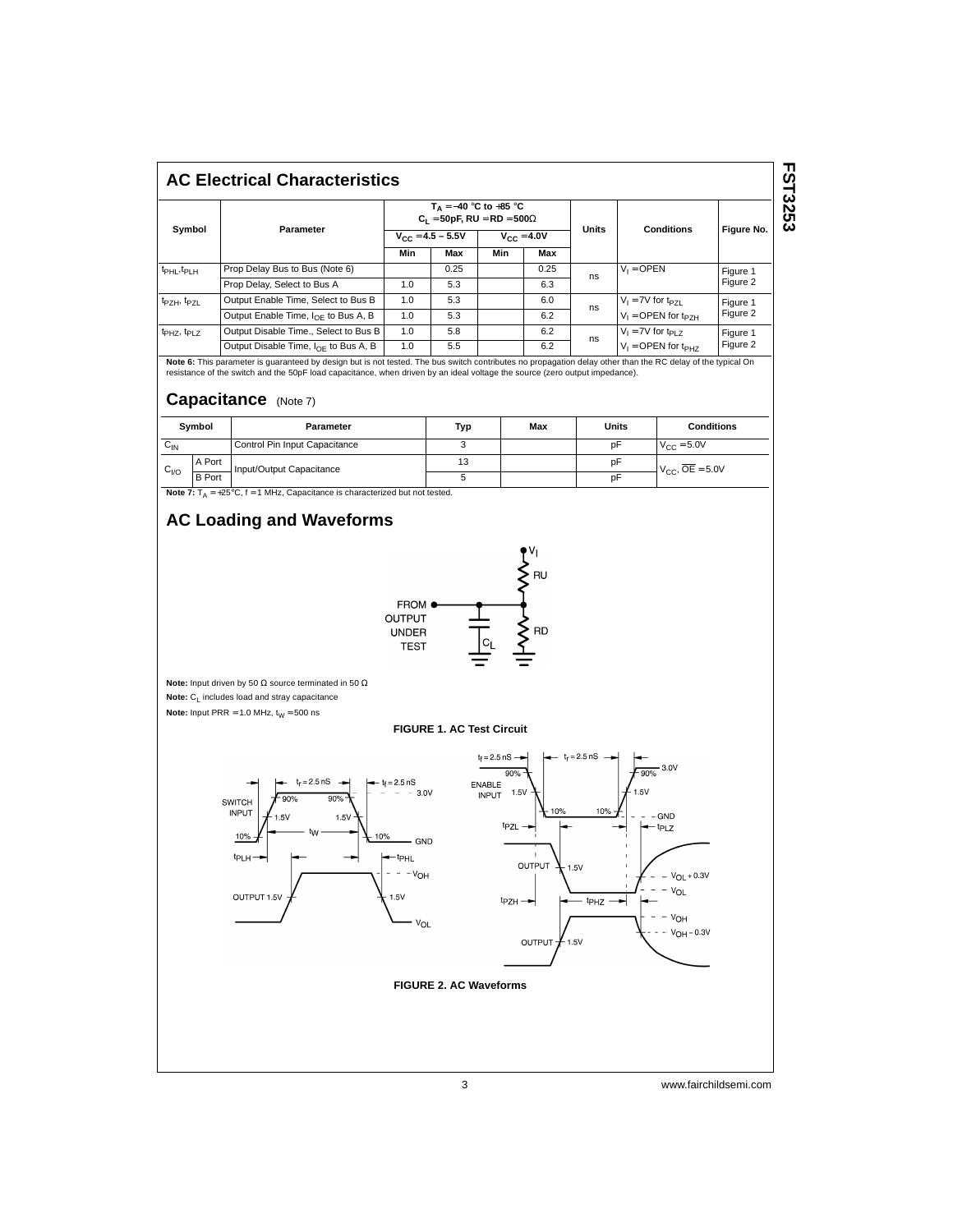#### **AC Electrical Characteristics**

|                                     |                                                 | $T_A = -40$ °C to +85 °C<br>$C_1 = 50pF$ , RU = RD = 500 $\Omega$ |      |                        |      |              |                                   |                      |
|-------------------------------------|-------------------------------------------------|-------------------------------------------------------------------|------|------------------------|------|--------------|-----------------------------------|----------------------|
| Symbol                              | Parameter                                       | $V_{CC} = 4.5 - 5.5V$                                             |      | $V_{\text{CC}} = 4.0V$ |      | <b>Units</b> | <b>Conditions</b>                 | Figure No.           |
|                                     |                                                 | Min                                                               | Max  | Min                    | Max  |              |                                   |                      |
| t <sub>PHL</sub> , t <sub>PLH</sub> | Prop Delay Bus to Bus (Note 6)                  |                                                                   | 0.25 |                        | 0.25 | ns           | $V_1 =$ OPEN                      | Figure 1<br>Figure 2 |
|                                     | Prop Delay, Select to Bus A                     | 1.0                                                               | 5.3  |                        | 6.3  |              |                                   |                      |
| t <sub>PZH</sub> , t <sub>PZL</sub> | Output Enable Time, Select to Bus B             | 1.0                                                               | 5.3  |                        | 6.0  | ns           | $V_1 = 7V$ for $t_{PZL}$          | Figure 1<br>Figure 2 |
|                                     | Output Enable Time, $I_{\Omega F}$ to Bus A, B  | 1.0                                                               | 5.3  |                        | 6.2  |              | $V_1 =$ OPEN for t <sub>P7H</sub> |                      |
| t <sub>PHZ</sub> , t <sub>PLZ</sub> | Output Disable Time., Select to Bus B           | 1.0                                                               | 5.8  |                        | 6.2  | ns           | $V_1 = 7V$ for $t_{PI}$ z         | Figure 1<br>Figure 2 |
|                                     | Output Disable Time, $I_{\Omega F}$ to Bus A, B | 1.0                                                               | 5.5  |                        | 6.2  |              | $V_1 =$ OPEN for t <sub>PH7</sub> |                      |

**Note 6:** This parameter is guaranteed by design but is not tested. The bus switch contributes no propagation delay other than the RC delay of the typical On<br>resistance of the switch and the 50pF load capacitance, when dri

#### **Capacitance** (Note 7)

| Symbol          |               | Parameter                     | Typ | Max | Units | <b>Conditions</b>      |
|-----------------|---------------|-------------------------------|-----|-----|-------|------------------------|
| $v_{\text{IN}}$ |               | Control Pin Input Capacitance |     |     | pF    | $V_{\text{CC}} = 5.0V$ |
|                 | A Port        | Input/Output Capacitance      | 13  |     | pF    | $V_{CC}$ , $OE = 5.0V$ |
| $C_{VQ}$        | <b>B</b> Port |                               |     |     | pF    |                        |

**Note 7:**  $T_A = +25^\circ C$ ,  $f = 1$  MHz, Capacitance is characterized but not tested.

### **AC Loading and Waveforms**



**Note:** Input driven by 50 Ω source terminated in 50 Ω **Note:** C<sub>L</sub> includes load and stray capacitance

**Note:** Input PRR = 1.0 MHz,  $t_W = 500$  ns

#### **FIGURE 1. AC Test Circuit**



**FST3253 FST3253**

3 www.fairchildsemi.com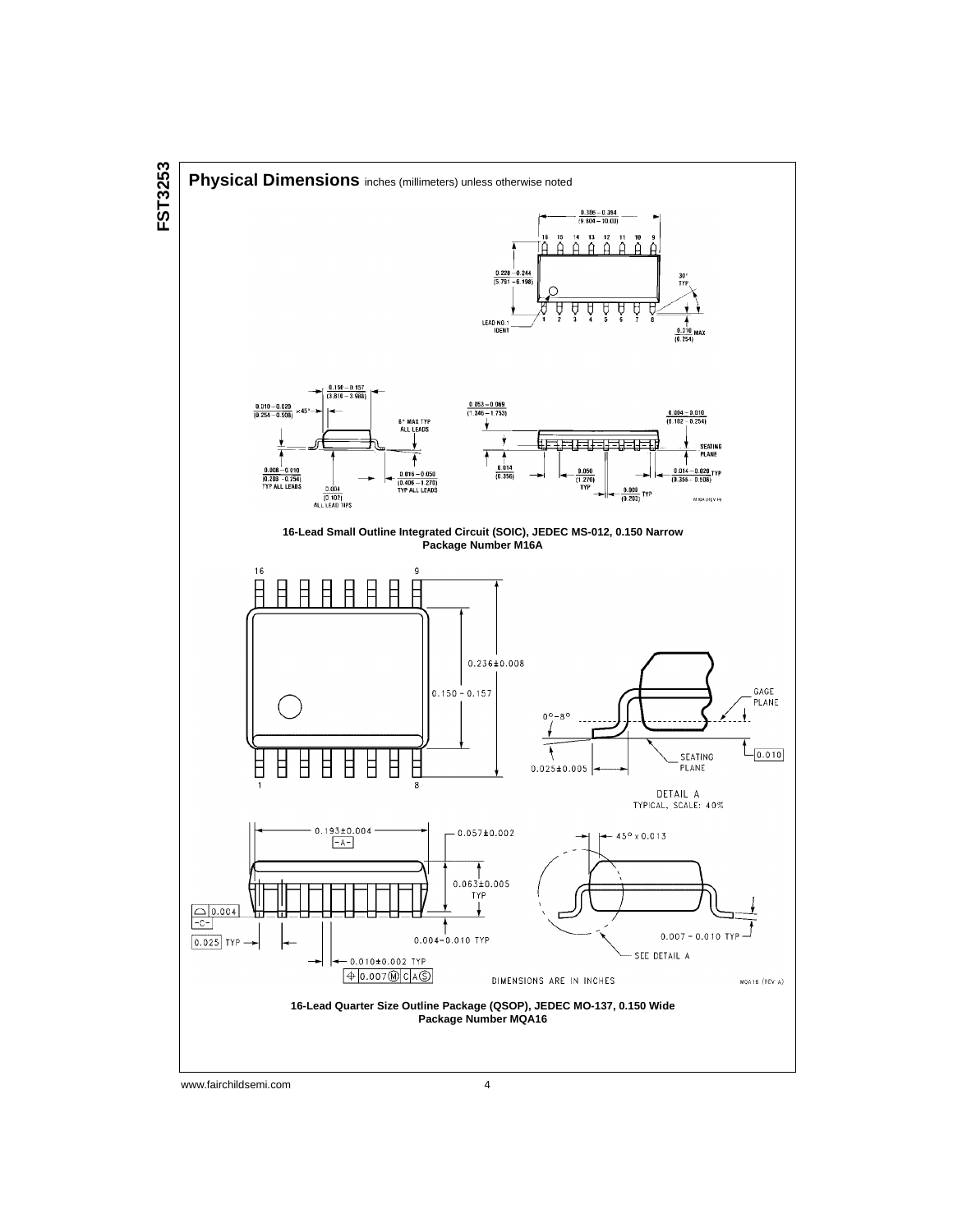